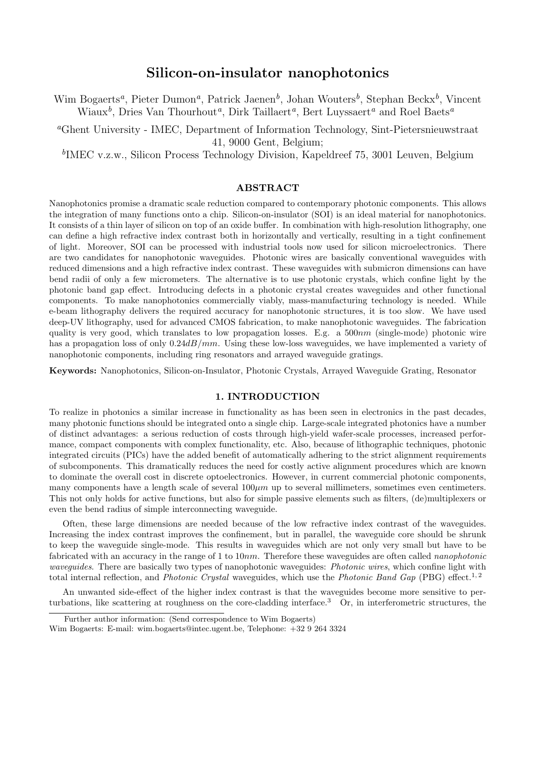# Silicon-on-insulator nanophotonics

Wim Bogaerts<sup>*a*</sup>, Pieter Dumon<sup>*a*</sup>, Patrick Jaenen<sup>b</sup>, Johan Wouters<sup>b</sup>, Stephan Beckx<sup>b</sup>, Vincent Wiaux<sup>b</sup>, Dries Van Thourhout<sup>a</sup>, Dirk Taillaert<sup>a</sup>, Bert Luyssaert<sup>a</sup> and Roel Baets<sup>a</sup>

<sup>a</sup>Ghent University - IMEC, Department of Information Technology, Sint-Pietersnieuwstraat 41, 9000 Gent, Belgium;

<sup>b</sup>IMEC v.z.w., Silicon Process Technology Division, Kapeldreef 75, 3001 Leuven, Belgium

# ABSTRACT

Nanophotonics promise a dramatic scale reduction compared to contemporary photonic components. This allows the integration of many functions onto a chip. Silicon-on-insulator (SOI) is an ideal material for nanophotonics. It consists of a thin layer of silicon on top of an oxide buffer. In combination with high-resolution lithography, one can define a high refractive index contrast both in horizontally and vertically, resulting in a tight confinement of light. Moreover, SOI can be processed with industrial tools now used for silicon microelectronics. There are two candidates for nanophotonic waveguides. Photonic wires are basically conventional waveguides with reduced dimensions and a high refractive index contrast. These waveguides with submicron dimensions can have bend radii of only a few micrometers. The alternative is to use photonic crystals, which confine light by the photonic band gap effect. Introducing defects in a photonic crystal creates waveguides and other functional components. To make nanophotonics commercially viably, mass-manufacturing technology is needed. While e-beam lithography delivers the required accuracy for nanophotonic structures, it is too slow. We have used deep-UV lithography, used for advanced CMOS fabrication, to make nanophotonic waveguides. The fabrication quality is very good, which translates to low propagation losses. E.g. a  $500nm$  (single-mode) photonic wire has a propagation loss of only  $0.24dB/mm$ . Using these low-loss waveguides, we have implemented a variety of nanophotonic components, including ring resonators and arrayed waveguide gratings.

Keywords: Nanophotonics, Silicon-on-Insulator, Photonic Crystals, Arrayed Waveguide Grating, Resonator

### 1. INTRODUCTION

To realize in photonics a similar increase in functionality as has been seen in electronics in the past decades, many photonic functions should be integrated onto a single chip. Large-scale integrated photonics have a number of distinct advantages: a serious reduction of costs through high-yield wafer-scale processes, increased performance, compact components with complex functionality, etc. Also, because of lithographic techniques, photonic integrated circuits (PICs) have the added benefit of automatically adhering to the strict alignment requirements of subcomponents. This dramatically reduces the need for costly active alignment procedures which are known to dominate the overall cost in discrete optoelectronics. However, in current commercial photonic components, many components have a length scale of several  $100 \mu m$  up to several millimeters, sometimes even centimeters. This not only holds for active functions, but also for simple passive elements such as filters, (de)multiplexers or even the bend radius of simple interconnecting waveguide.

Often, these large dimensions are needed because of the low refractive index contrast of the waveguides. Increasing the index contrast improves the confinement, but in parallel, the waveguide core should be shrunk to keep the waveguide single-mode. This results in waveguides which are not only very small but have to be fabricated with an accuracy in the range of 1 to  $10nm$ . Therefore these waveguides are often called *nanophotonic* waveguides. There are basically two types of nanophotonic waveguides: Photonic wires, which confine light with total internal reflection, and *Photonic Crystal* waveguides, which use the *Photonic Band Gap* (PBG) effect.<sup>1, 2</sup>

An unwanted side-effect of the higher index contrast is that the waveguides become more sensitive to perturbations, like scattering at roughness on the core-cladding interface.<sup>3</sup> Or, in interferometric structures, the

Further author information: (Send correspondence to Wim Bogaerts)

Wim Bogaerts: E-mail: wim.bogaerts@intec.ugent.be, Telephone: +32 9 264 3324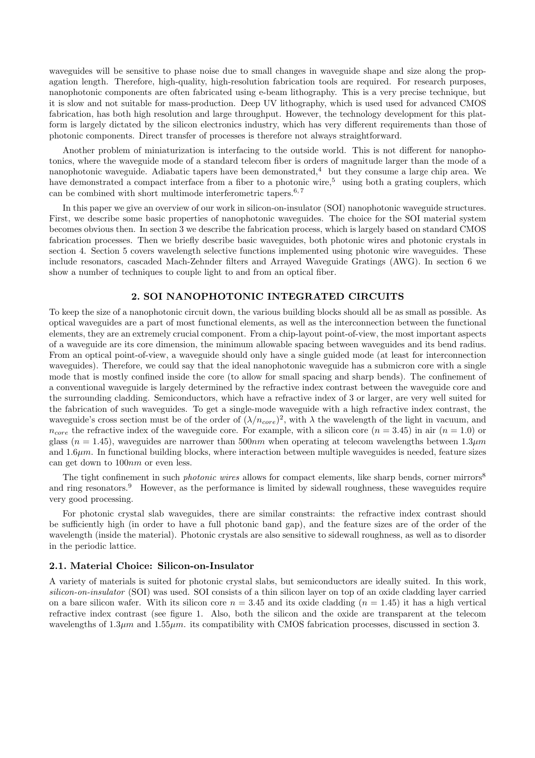waveguides will be sensitive to phase noise due to small changes in waveguide shape and size along the propagation length. Therefore, high-quality, high-resolution fabrication tools are required. For research purposes, nanophotonic components are often fabricated using e-beam lithography. This is a very precise technique, but it is slow and not suitable for mass-production. Deep UV lithography, which is used used for advanced CMOS fabrication, has both high resolution and large throughput. However, the technology development for this platform is largely dictated by the silicon electronics industry, which has very different requirements than those of photonic components. Direct transfer of processes is therefore not always straightforward.

Another problem of miniaturization is interfacing to the outside world. This is not different for nanophotonics, where the waveguide mode of a standard telecom fiber is orders of magnitude larger than the mode of a nanophotonic waveguide. Adiabatic tapers have been demonstrated,<sup>4</sup> but they consume a large chip area. We have demonstrated a compact interface from a fiber to a photonic wire,<sup>5</sup> using both a grating couplers, which can be combined with short multimode interferometric tapers.  $6, 7$ 

In this paper we give an overview of our work in silicon-on-insulator (SOI) nanophotonic waveguide structures. First, we describe some basic properties of nanophotonic waveguides. The choice for the SOI material system becomes obvious then. In section 3 we describe the fabrication process, which is largely based on standard CMOS fabrication processes. Then we briefly describe basic waveguides, both photonic wires and photonic crystals in section 4. Section 5 covers wavelength selective functions implemented using photonic wire waveguides. These include resonators, cascaded Mach-Zehnder filters and Arrayed Waveguide Gratings (AWG). In section 6 we show a number of techniques to couple light to and from an optical fiber.

# 2. SOI NANOPHOTONIC INTEGRATED CIRCUITS

To keep the size of a nanophotonic circuit down, the various building blocks should all be as small as possible. As optical waveguides are a part of most functional elements, as well as the interconnection between the functional elements, they are an extremely crucial component. From a chip-layout point-of-view, the most important aspects of a waveguide are its core dimension, the minimum allowable spacing between waveguides and its bend radius. From an optical point-of-view, a waveguide should only have a single guided mode (at least for interconnection waveguides). Therefore, we could say that the ideal nanophotonic waveguide has a submicron core with a single mode that is mostly confined inside the core (to allow for small spacing and sharp bends). The confinement of a conventional waveguide is largely determined by the refractive index contrast between the waveguide core and the surrounding cladding. Semiconductors, which have a refractive index of 3 or larger, are very well suited for the fabrication of such waveguides. To get a single-mode waveguide with a high refractive index contrast, the waveguide's cross section must be of the order of  $(\lambda/n_{core})^2$ , with  $\lambda$  the wavelength of the light in vacuum, and  $n_{core}$  the refractive index of the waveguide core. For example, with a silicon core  $(n = 3.45)$  in air  $(n = 1.0)$  or glass ( $n = 1.45$ ), waveguides are narrower than 500*nm* when operating at telecom wavelengths between 1.3 $\mu$ m and  $1.6\mu$ m. In functional building blocks, where interaction between multiple waveguides is needed, feature sizes can get down to 100nm or even less.

The tight confinement in such *photonic wires* allows for compact elements, like sharp bends, corner mirrors<sup>8</sup> and ring resonators.<sup>9</sup> However, as the performance is limited by sidewall roughness, these waveguides require very good processing.

For photonic crystal slab waveguides, there are similar constraints: the refractive index contrast should be sufficiently high (in order to have a full photonic band gap), and the feature sizes are of the order of the wavelength (inside the material). Photonic crystals are also sensitive to sidewall roughness, as well as to disorder in the periodic lattice.

### 2.1. Material Choice: Silicon-on-Insulator

A variety of materials is suited for photonic crystal slabs, but semiconductors are ideally suited. In this work, silicon-on-insulator (SOI) was used. SOI consists of a thin silicon layer on top of an oxide cladding layer carried on a bare silicon wafer. With its silicon core  $n = 3.45$  and its oxide cladding  $(n = 1.45)$  it has a high vertical refractive index contrast (see figure 1. Also, both the silicon and the oxide are transparent at the telecom wavelengths of  $1.3\mu m$  and  $1.55\mu m$ . its compatibility with CMOS fabrication processes, discussed in section 3.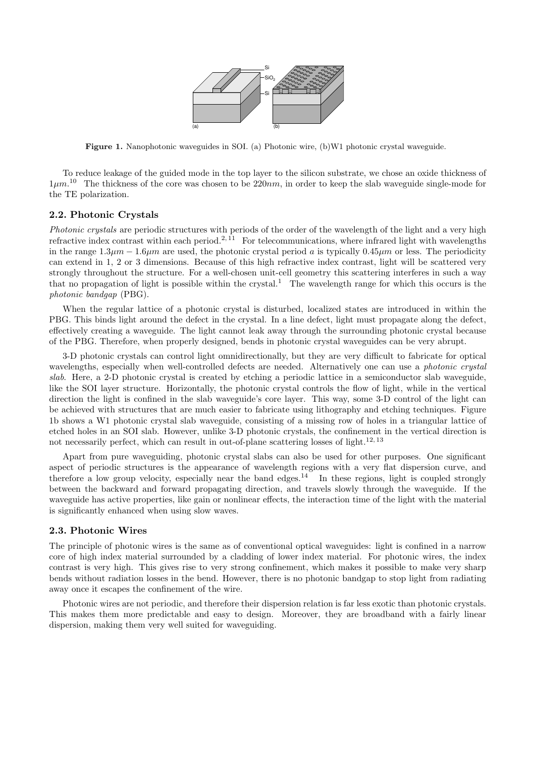

Figure 1. Nanophotonic waveguides in SOI. (a) Photonic wire, (b)W1 photonic crystal waveguide.

To reduce leakage of the guided mode in the top layer to the silicon substrate, we chose an oxide thickness of  $1\mu m$ <sup>10</sup> The thickness of the core was chosen to be  $220nm$ , in order to keep the slab waveguide single-mode for the TE polarization.

# 2.2. Photonic Crystals

Photonic crystals are periodic structures with periods of the order of the wavelength of the light and a very high refractive index contrast within each period.<sup>2, 11</sup> For telecommunications, where infrared light with wavelengths in the range  $1.3\mu m - 1.6\mu m$  are used, the photonic crystal period a is typically  $0.45\mu m$  or less. The periodicity can extend in 1, 2 or 3 dimensions. Because of this high refractive index contrast, light will be scattered very strongly throughout the structure. For a well-chosen unit-cell geometry this scattering interferes in such a way that no propagation of light is possible within the crystal.<sup>1</sup> The wavelength range for which this occurs is the photonic bandgap (PBG).

When the regular lattice of a photonic crystal is disturbed, localized states are introduced in within the PBG. This binds light around the defect in the crystal. In a line defect, light must propagate along the defect, effectively creating a waveguide. The light cannot leak away through the surrounding photonic crystal because of the PBG. Therefore, when properly designed, bends in photonic crystal waveguides can be very abrupt.

3-D photonic crystals can control light omnidirectionally, but they are very difficult to fabricate for optical wavelengths, especially when well-controlled defects are needed. Alternatively one can use a *photonic crystal* slab. Here, a 2-D photonic crystal is created by etching a periodic lattice in a semiconductor slab waveguide, like the SOI layer structure. Horizontally, the photonic crystal controls the flow of light, while in the vertical direction the light is confined in the slab waveguide's core layer. This way, some 3-D control of the light can be achieved with structures that are much easier to fabricate using lithography and etching techniques. Figure 1b shows a W1 photonic crystal slab waveguide, consisting of a missing row of holes in a triangular lattice of etched holes in an SOI slab. However, unlike 3-D photonic crystals, the confinement in the vertical direction is not necessarily perfect, which can result in out-of-plane scattering losses of light.<sup>12, 13</sup>

Apart from pure waveguiding, photonic crystal slabs can also be used for other purposes. One significant aspect of periodic structures is the appearance of wavelength regions with a very flat dispersion curve, and therefore a low group velocity, especially near the band edges.<sup>14</sup> In these regions, light is coupled strongly between the backward and forward propagating direction, and travels slowly through the waveguide. If the waveguide has active properties, like gain or nonlinear effects, the interaction time of the light with the material is significantly enhanced when using slow waves.

# 2.3. Photonic Wires

The principle of photonic wires is the same as of conventional optical waveguides: light is confined in a narrow core of high index material surrounded by a cladding of lower index material. For photonic wires, the index contrast is very high. This gives rise to very strong confinement, which makes it possible to make very sharp bends without radiation losses in the bend. However, there is no photonic bandgap to stop light from radiating away once it escapes the confinement of the wire.

Photonic wires are not periodic, and therefore their dispersion relation is far less exotic than photonic crystals. This makes them more predictable and easy to design. Moreover, they are broadband with a fairly linear dispersion, making them very well suited for waveguiding.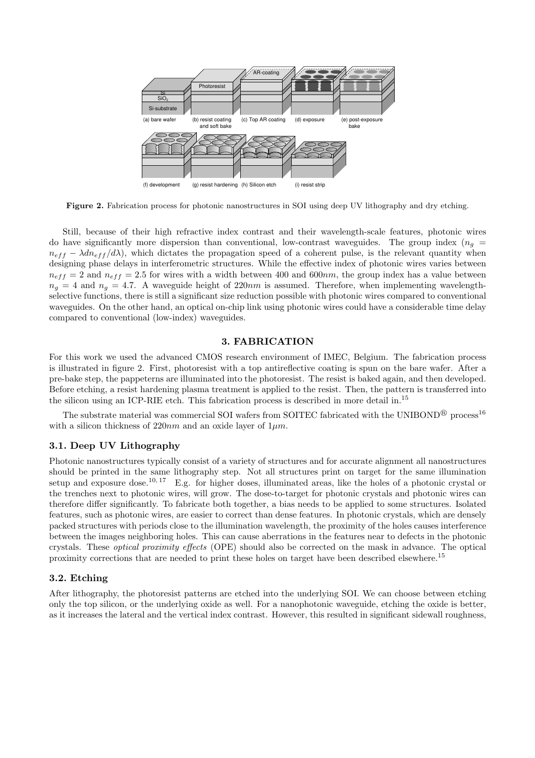

Figure 2. Fabrication process for photonic nanostructures in SOI using deep UV lithography and dry etching.

Still, because of their high refractive index contrast and their wavelength-scale features, photonic wires do have significantly more dispersion than conventional, low-contrast waveguides. The group index  $(n_q =$  $n_{eff} - \lambda dn_{eff}/d\lambda$ , which dictates the propagation speed of a coherent pulse, is the relevant quantity when designing phase delays in interferometric structures. While the effective index of photonic wires varies between  $n_{eff} = 2$  and  $n_{eff} = 2.5$  for wires with a width between 400 and 600nm, the group index has a value between  $n_q = 4$  and  $n_q = 4.7$ . A waveguide height of 220nm is assumed. Therefore, when implementing wavelengthselective functions, there is still a significant size reduction possible with photonic wires compared to conventional waveguides. On the other hand, an optical on-chip link using photonic wires could have a considerable time delay compared to conventional (low-index) waveguides.

### 3. FABRICATION

For this work we used the advanced CMOS research environment of IMEC, Belgium. The fabrication process is illustrated in figure 2. First, photoresist with a top antireflective coating is spun on the bare wafer. After a pre-bake step, the pappeterns are illuminated into the photoresist. The resist is baked again, and then developed. Before etching, a resist hardening plasma treatment is applied to the resist. Then, the pattern is transferred into the silicon using an ICP-RIE etch. This fabrication process is described in more detail in.<sup>15</sup>

The substrate material was commercial SOI wafers from SOITEC fabricated with the UNIBOND<sup>®</sup> process<sup>16</sup> with a silicon thickness of  $220nm$  and an oxide layer of  $1\mu m$ .

### 3.1. Deep UV Lithography

Photonic nanostructures typically consist of a variety of structures and for accurate alignment all nanostructures should be printed in the same lithography step. Not all structures print on target for the same illumination setup and exposure dose.<sup>10, 17</sup> E.g. for higher doses, illuminated areas, like the holes of a photonic crystal or the trenches next to photonic wires, will grow. The dose-to-target for photonic crystals and photonic wires can therefore differ significantly. To fabricate both together, a bias needs to be applied to some structures. Isolated features, such as photonic wires, are easier to correct than dense features. In photonic crystals, which are densely packed structures with periods close to the illumination wavelength, the proximity of the holes causes interference between the images neighboring holes. This can cause aberrations in the features near to defects in the photonic crystals. These optical proximity effects (OPE) should also be corrected on the mask in advance. The optical proximity corrections that are needed to print these holes on target have been described elsewhere.<sup>15</sup>

#### 3.2. Etching

After lithography, the photoresist patterns are etched into the underlying SOI. We can choose between etching only the top silicon, or the underlying oxide as well. For a nanophotonic waveguide, etching the oxide is better, as it increases the lateral and the vertical index contrast. However, this resulted in significant sidewall roughness,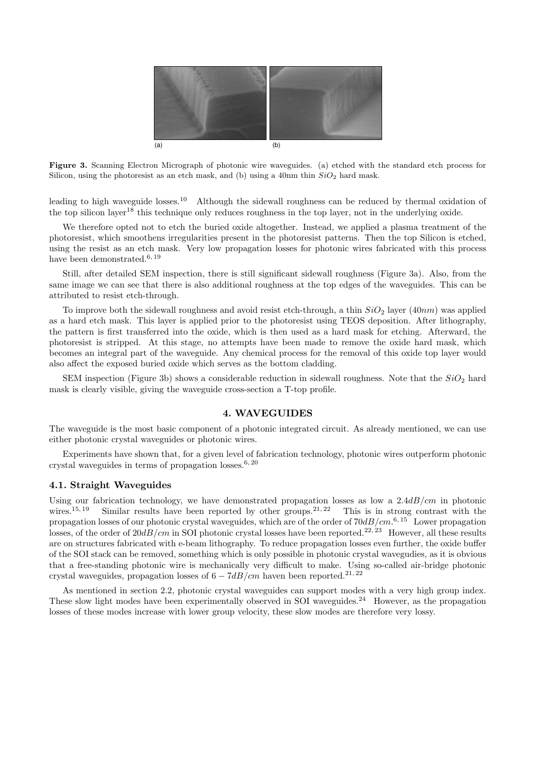

Figure 3. Scanning Electron Micrograph of photonic wire waveguides. (a) etched with the standard etch process for Silicon, using the photoresist as an etch mask, and (b) using a 40nm thin  $SiO<sub>2</sub>$  hard mask.

leading to high waveguide losses.<sup>10</sup> Although the sidewall roughness can be reduced by thermal oxidation of the top silicon layer<sup>18</sup> this technique only reduces roughness in the top layer, not in the underlying oxide.

We therefore opted not to etch the buried oxide altogether. Instead, we applied a plasma treatment of the photoresist, which smoothens irregularities present in the photoresist patterns. Then the top Silicon is etched, using the resist as an etch mask. Very low propagation losses for photonic wires fabricated with this process have been demonstrated.  $\sp{6,19}$ 

Still, after detailed SEM inspection, there is still significant sidewall roughness (Figure 3a). Also, from the same image we can see that there is also additional roughness at the top edges of the waveguides. This can be attributed to resist etch-through.

To improve both the sidewall roughness and avoid resist etch-through, a thin  $SiO<sub>2</sub>$  layer (40nm) was applied as a hard etch mask. This layer is applied prior to the photoresist using TEOS deposition. After lithography, the pattern is first transferred into the oxide, which is then used as a hard mask for etching. Afterward, the photoresist is stripped. At this stage, no attempts have been made to remove the oxide hard mask, which becomes an integral part of the waveguide. Any chemical process for the removal of this oxide top layer would also affect the exposed buried oxide which serves as the bottom cladding.

SEM inspection (Figure 3b) shows a considerable reduction in sidewall roughness. Note that the  $SiO<sub>2</sub>$  hard mask is clearly visible, giving the waveguide cross-section a T-top profile.

### 4. WAVEGUIDES

The waveguide is the most basic component of a photonic integrated circuit. As already mentioned, we can use either photonic crystal waveguides or photonic wires.

Experiments have shown that, for a given level of fabrication technology, photonic wires outperform photonic crystal waveguides in terms of propagation losses.<sup>6, 20</sup>

#### 4.1. Straight Waveguides

Using our fabrication technology, we have demonstrated propagation losses as low a  $2.4dB/cm$  in photonic wires.<sup>15, 19</sup> Similar results have been reported by other groups.<sup>21, 22</sup> This is in strong contrast with the propagation losses of our photonic crystal waveguides, which are of the order of  $70dB/cm$ .<sup>6, 15</sup> Lower propagation losses, of the order of  $20dB/cm$  in SOI photonic crystal losses have been reported.<sup>22, 23</sup> However, all these results are on structures fabricated with e-beam lithography. To reduce propagation losses even further, the oxide buffer of the SOI stack can be removed, something which is only possible in photonic crystal wavegudies, as it is obvious that a free-standing photonic wire is mechanically very difficult to make. Using so-called air-bridge photonic crystal waveguides, propagation losses of  $6 - 7dB/cm$  haven been reported.<sup>21,22</sup>

As mentioned in section 2.2, photonic crystal waveguides can support modes with a very high group index. These slow light modes have been experimentally observed in SOI waveguides.<sup>24</sup> However, as the propagation losses of these modes increase with lower group velocity, these slow modes are therefore very lossy.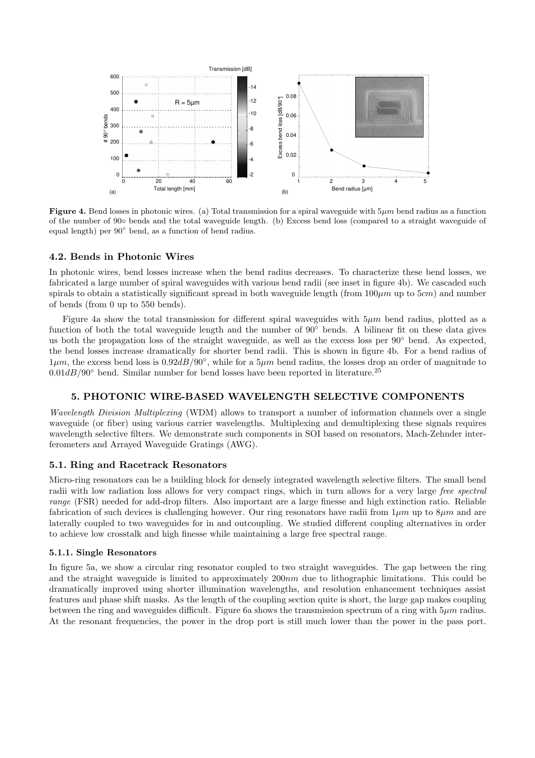

Figure 4. Bend losses in photonic wires. (a) Total transmission for a spiral waveguide with  $5\mu m$  bend radius as a function of the number of 90◦ bends and the total waveguide length. (b) Excess bend loss (compared to a straight waveguide of equal length) per 90◦ bend, as a function of bend radius.

### 4.2. Bends in Photonic Wires

In photonic wires, bend losses increase when the bend radius decreases. To characterize these bend losses, we fabricated a large number of spiral waveguides with various bend radii (see inset in figure 4b). We cascaded such spirals to obtain a statistically significant spread in both waveguide length (from  $100 \mu m$  up to  $5cm$ ) and number of bends (from 0 up to 550 bends).

Figure 4a show the total transmission for different spiral waveguides with  $5\mu m$  bend radius, plotted as a function of both the total waveguide length and the number of 90° bends. A bilinear fit on these data gives us both the propagation loss of the straight waveguide, as well as the excess loss per 90◦ bend. As expected, the bend losses increase dramatically for shorter bend radii. This is shown in figure 4b. For a bend radius of  $1\mu$ m, the excess bend loss is  $0.92dB/90°$ , while for a  $5\mu$ m bend radius, the losses drop an order of magnitude to  $0.01dB/90°$  bend. Similar number for bend losses have been reported in literature.<sup>25</sup>

# 5. PHOTONIC WIRE-BASED WAVELENGTH SELECTIVE COMPONENTS

Wavelength Division Multiplexing (WDM) allows to transport a number of information channels over a single waveguide (or fiber) using various carrier wavelengths. Multiplexing and demultiplexing these signals requires wavelength selective filters. We demonstrate such components in SOI based on resonators, Mach-Zehnder interferometers and Arrayed Waveguide Gratings (AWG).

# 5.1. Ring and Racetrack Resonators

Micro-ring resonators can be a building block for densely integrated wavelength selective filters. The small bend radii with low radiation loss allows for very compact rings, which in turn allows for a very large free spectral range (FSR) needed for add-drop filters. Also important are a large finesse and high extinction ratio. Reliable fabrication of such devices is challenging however. Our ring resonators have radii from  $1\mu m$  up to  $8\mu m$  and are laterally coupled to two waveguides for in and outcoupling. We studied different coupling alternatives in order to achieve low crosstalk and high finesse while maintaining a large free spectral range.

### 5.1.1. Single Resonators

In figure 5a, we show a circular ring resonator coupled to two straight waveguides. The gap between the ring and the straight waveguide is limited to approximately  $200nm$  due to lithographic limitations. This could be dramatically improved using shorter illumination wavelengths, and resolution enhancement techniques assist features and phase shift masks. As the length of the coupling section quite is short, the large gap makes coupling between the ring and waveguides difficult. Figure 6a shows the transmission spectrum of a ring with  $5\mu m$  radius. At the resonant frequencies, the power in the drop port is still much lower than the power in the pass port.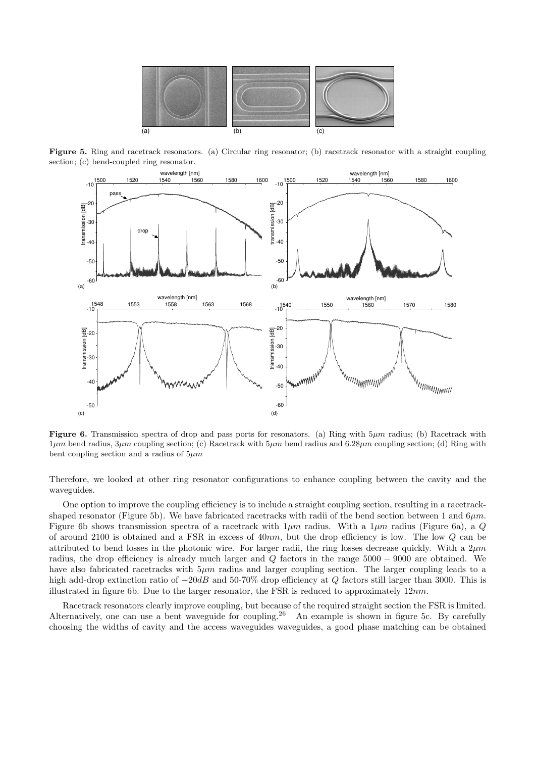

Figure 5. Ring and racetrack resonators. (a) Circular ring resonator; (b) racetrack resonator with a straight coupling section; (c) bend-coupled ring resonator.



Figure 6. Transmission spectra of drop and pass ports for resonators. (a) Ring with  $5\mu m$  radius; (b) Racetrack with  $1\mu$ m bend radius,  $3\mu$ m coupling section; (c) Racetrack with  $5\mu$ m bend radius and  $6.28\mu$ m coupling section; (d) Ring with bent coupling section and a radius of  $5\mu m$ 

Therefore, we looked at other ring resonator configurations to enhance coupling between the cavity and the waveguides.

One option to improve the coupling efficiency is to include a straight coupling section, resulting in a racetrackshaped resonator (Figure 5b). We have fabricated racetracks with radii of the bend section between 1 and  $6\mu m$ . Figure 6b shows transmission spectra of a racetrack with  $1\mu m$  radius. With a  $1\mu m$  radius (Figure 6a), a Q of around 2100 is obtained and a FSR in excess of  $40nm$ , but the drop efficiency is low. The low  $Q$  can be attributed to bend losses in the photonic wire. For larger radii, the ring losses decrease quickly. With a  $2\mu m$ radius, the drop efficiency is already much larger and Q factors in the range 5000 − 9000 are obtained. We have also fabricated racetracks with  $5\mu m$  radius and larger coupling section. The larger coupling leads to a high add-drop extinction ratio of  $-20dB$  and 50-70% drop efficiency at Q factors still larger than 3000. This is illustrated in figure 6b. Due to the larger resonator, the FSR is reduced to approximately  $12nm$ .

Racetrack resonators clearly improve coupling, but because of the required straight section the FSR is limited. Alternatively, one can use a bent waveguide for coupling.<sup>26</sup> An example is shown in figure 5c. By carefully choosing the widths of cavity and the access waveguides waveguides, a good phase matching can be obtained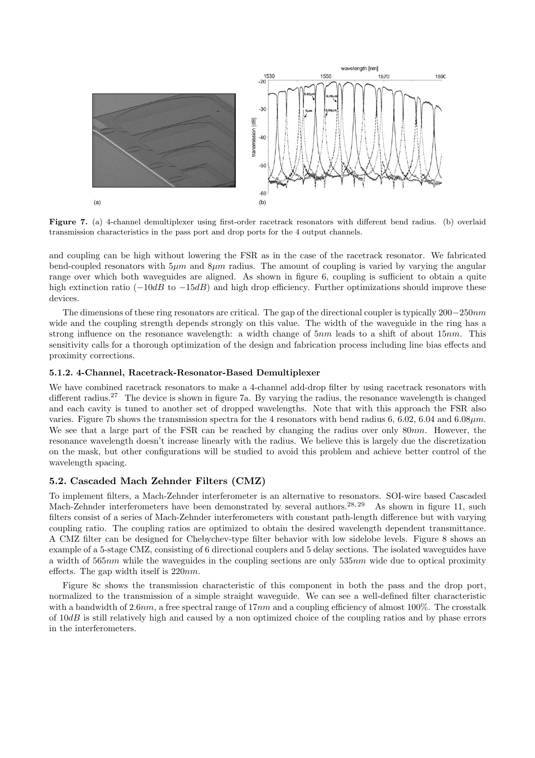

Figure 7. (a) 4-channel demultiplexer using first-order racetrack resonators with different bend radius. (b) overlaid transmission characteristics in the pass port and drop ports for the 4 output channels.

and coupling can be high without lowering the FSR as in the case of the racetrack resonator. We fabricated bend-coupled resonators with  $5\mu m$  and  $8\mu m$  radius. The amount of coupling is varied by varying the angular range over which both waveguides are aligned. As shown in figure 6, coupling is sufficient to obtain a quite high extinction ratio ( $-10dB$  to  $-15dB$ ) and high drop efficiency. Further optimizations should improve these devices.

The dimensions of these ring resonators are critical. The gap of the directional coupler is typically 200−250nm wide and the coupling strength depends strongly on this value. The width of the waveguide in the ring has a strong influence on the resonance wavelength: a width change of  $5nm$  leads to a shift of about  $15nm$ . This sensitivity calls for a thorough optimization of the design and fabrication process including line bias effects and proximity corrections.

#### 5.1.2. 4-Channel, Racetrack-Resonator-Based Demultiplexer

We have combined racetrack resonators to make a 4-channel add-drop filter by using racetrack resonators with different radius.<sup>27</sup> The device is shown in figure 7a. By varying the radius, the resonance wavelength is changed and each cavity is tuned to another set of dropped wavelengths. Note that with this approach the FSR also varies. Figure 7b shows the transmission spectra for the 4 resonators with bend radius 6, 6.02, 6.04 and 6.08 $\mu$ m. We see that a large part of the FSR can be reached by changing the radius over only  $80nm$ . However, the resonance wavelength doesn't increase linearly with the radius. We believe this is largely due the discretization on the mask, but other configurations will be studied to avoid this problem and achieve better control of the wavelength spacing.

# 5.2. Cascaded Mach Zehnder Filters (CMZ)

To implement filters, a Mach-Zehnder interferometer is an alternative to resonators. SOI-wire based Cascaded Mach-Zehnder interferometers have been demonstrated by several authors.<sup>28, 29</sup> As shown in figure 11, such filters consist of a series of Mach-Zehnder interferometers with constant path-length difference but with varying coupling ratio. The coupling ratios are optimized to obtain the desired wavelength dependent transmittance. A CMZ filter can be designed for Chebychev-type filter behavior with low sidelobe levels. Figure 8 shows an example of a 5-stage CMZ, consisting of 6 directional couplers and 5 delay sections. The isolated waveguides have a width of 565 $nm$  while the waveguides in the coupling sections are only 535 $nm$  wide due to optical proximity effects. The gap width itself is  $220nm$ .

Figure 8c shows the transmission characteristic of this component in both the pass and the drop port, normalized to the transmission of a simple straight waveguide. We can see a well-defined filter characteristic with a bandwidth of 2.6nm, a free spectral range of  $17nm$  and a coupling efficiency of almost 100%. The crosstalk of 10dB is still relatively high and caused by a non optimized choice of the coupling ratios and by phase errors in the interferometers.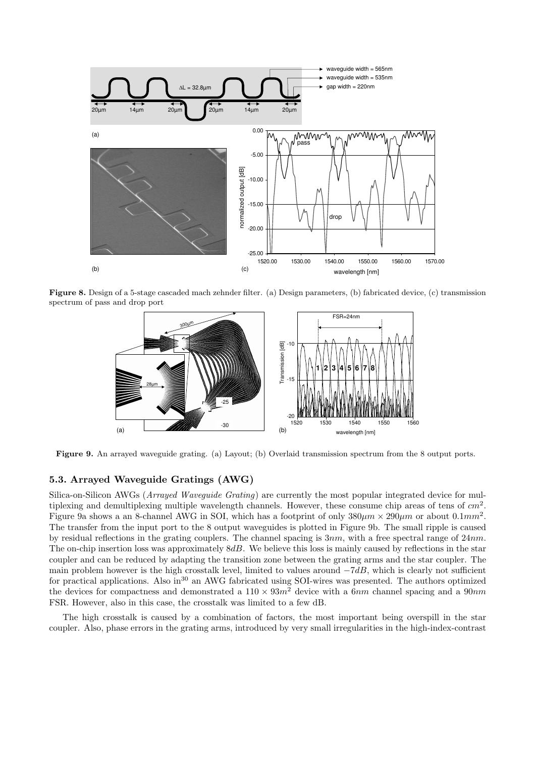

Figure 8. Design of a 5-stage cascaded mach zehnder filter. (a) Design parameters, (b) fabricated device, (c) transmission spectrum of pass and drop port



Figure 9. An arrayed waveguide grating. (a) Layout; (b) Overlaid transmission spectrum from the 8 output ports.

# 5.3. Arrayed Waveguide Gratings (AWG)

Silica-on-Silicon AWGs (Arrayed Waveguide Grating) are currently the most popular integrated device for multiplexing and demultiplexing multiple wavelength channels. However, these consume chip areas of tens of  $cm<sup>2</sup>$ . Figure 9a shows a an 8-channel AWG in SOI, which has a footprint of only  $380 \mu m \times 290 \mu m$  or about  $0.1 mm^2$ . The transfer from the input port to the 8 output waveguides is plotted in Figure 9b. The small ripple is caused by residual reflections in the grating couplers. The channel spacing is  $3nm$ , with a free spectral range of  $24nm$ . The on-chip insertion loss was approximately  $8dB$ . We believe this loss is mainly caused by reflections in the star coupler and can be reduced by adapting the transition zone between the grating arms and the star coupler. The main problem however is the high crosstalk level, limited to values around  $-7dB$ , which is clearly not sufficient for practical applications. Also in<sup>30</sup> an AWG fabricated using SOI-wires was presented. The authors optimized the devices for compactness and demonstrated a  $110 \times 93m^2$  device with a 6nm channel spacing and a 90nm FSR. However, also in this case, the crosstalk was limited to a few dB.

The high crosstalk is caused by a combination of factors, the most important being overspill in the star coupler. Also, phase errors in the grating arms, introduced by very small irregularities in the high-index-contrast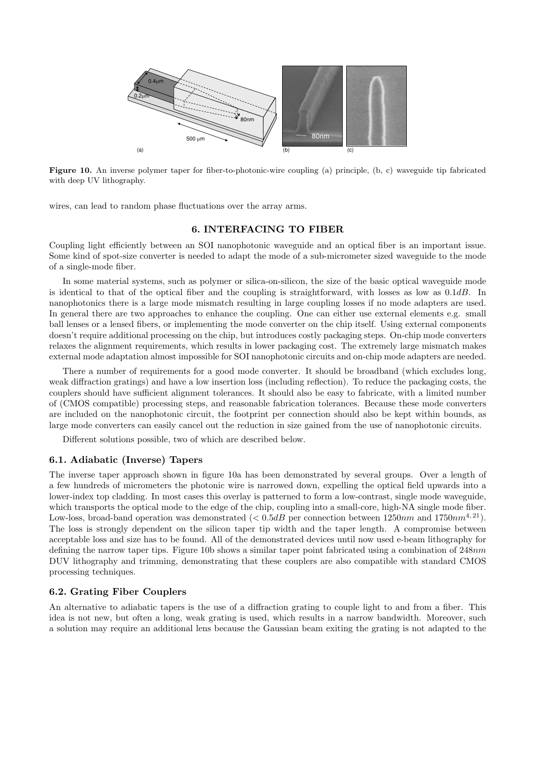

Figure 10. An inverse polymer taper for fiber-to-photonic-wire coupling (a) principle, (b, c) waveguide tip fabricated with deep UV lithography.

wires, can lead to random phase fluctuations over the array arms.

#### 6. INTERFACING TO FIBER

Coupling light efficiently between an SOI nanophotonic waveguide and an optical fiber is an important issue. Some kind of spot-size converter is needed to adapt the mode of a sub-micrometer sized waveguide to the mode of a single-mode fiber.

In some material systems, such as polymer or silica-on-silicon, the size of the basic optical waveguide mode is identical to that of the optical fiber and the coupling is straightforward, with losses as low as  $0.1dB$ . In nanophotonics there is a large mode mismatch resulting in large coupling losses if no mode adapters are used. In general there are two approaches to enhance the coupling. One can either use external elements e.g. small ball lenses or a lensed fibers, or implementing the mode converter on the chip itself. Using external components doesn't require additional processing on the chip, but introduces costly packaging steps. On-chip mode converters relaxes the alignment requirements, which results in lower packaging cost. The extremely large mismatch makes external mode adaptation almost impossible for SOI nanophotonic circuits and on-chip mode adapters are needed.

There a number of requirements for a good mode converter. It should be broadband (which excludes long, weak diffraction gratings) and have a low insertion loss (including reflection). To reduce the packaging costs, the couplers should have sufficient alignment tolerances. It should also be easy to fabricate, with a limited number of (CMOS compatible) processing steps, and reasonable fabrication tolerances. Because these mode converters are included on the nanophotonic circuit, the footprint per connection should also be kept within bounds, as large mode converters can easily cancel out the reduction in size gained from the use of nanophotonic circuits.

Different solutions possible, two of which are described below.

### 6.1. Adiabatic (Inverse) Tapers

The inverse taper approach shown in figure 10a has been demonstrated by several groups. Over a length of a few hundreds of micrometers the photonic wire is narrowed down, expelling the optical field upwards into a lower-index top cladding. In most cases this overlay is patterned to form a low-contrast, single mode waveguide, which transports the optical mode to the edge of the chip, coupling into a small-core, high-NA single mode fiber. Low-loss, broad-band operation was demonstrated  $(< 0.5dB$  per connection between 1250nm and 1750nm<sup>4, 21</sup>). The loss is strongly dependent on the silicon taper tip width and the taper length. A compromise between acceptable loss and size has to be found. All of the demonstrated devices until now used e-beam lithography for defining the narrow taper tips. Figure 10b shows a similar taper point fabricated using a combination of 248nm DUV lithography and trimming, demonstrating that these couplers are also compatible with standard CMOS processing techniques.

#### 6.2. Grating Fiber Couplers

An alternative to adiabatic tapers is the use of a diffraction grating to couple light to and from a fiber. This idea is not new, but often a long, weak grating is used, which results in a narrow bandwidth. Moreover, such a solution may require an additional lens because the Gaussian beam exiting the grating is not adapted to the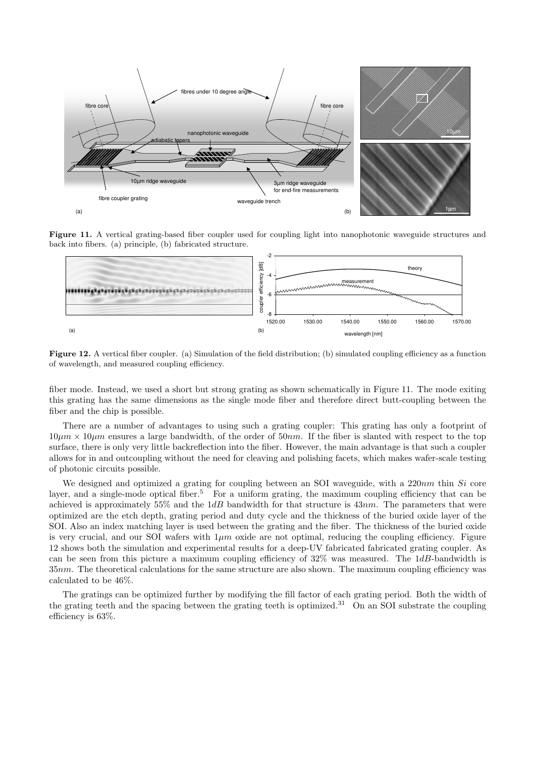

Figure 11. A vertical grating-based fiber coupler used for coupling light into nanophotonic waveguide structures and back into fibers. (a) principle, (b) fabricated structure.



Figure 12. A vertical fiber coupler. (a) Simulation of the field distribution; (b) simulated coupling efficiency as a function of wavelength, and measured coupling efficiency.

fiber mode. Instead, we used a short but strong grating as shown schematically in Figure 11. The mode exiting this grating has the same dimensions as the single mode fiber and therefore direct butt-coupling between the fiber and the chip is possible.

There are a number of advantages to using such a grating coupler: This grating has only a footprint of  $10\mu m \times 10\mu m$  ensures a large bandwidth, of the order of 50nm. If the fiber is slanted with respect to the top surface, there is only very little backreflection into the fiber. However, the main advantage is that such a coupler allows for in and outcoupling without the need for cleaving and polishing facets, which makes wafer-scale testing of photonic circuits possible.

We designed and optimized a grating for coupling between an SOI waveguide, with a  $220nm$  thin Si core layer, and a single-mode optical fiber.<sup>5</sup> For a uniform grating, the maximum coupling efficiency that can be achieved is approximately 55% and the  $1dB$  bandwidth for that structure is 43nm. The parameters that were optimized are the etch depth, grating period and duty cycle and the thickness of the buried oxide layer of the SOI. Also an index matching layer is used between the grating and the fiber. The thickness of the buried oxide is very crucial, and our SOI wafers with  $1\mu m$  oxide are not optimal, reducing the coupling efficiency. Figure 12 shows both the simulation and experimental results for a deep-UV fabricated fabricated grating coupler. As can be seen from this picture a maximum coupling efficiency of  $32\%$  was measured. The  $1dB$ -bandwidth is 35nm. The theoretical calculations for the same structure are also shown. The maximum coupling efficiency was calculated to be 46%.

The gratings can be optimized further by modifying the fill factor of each grating period. Both the width of the grating teeth and the spacing between the grating teeth is optimized.<sup>31</sup> On an SOI substrate the coupling efficiency is 63%.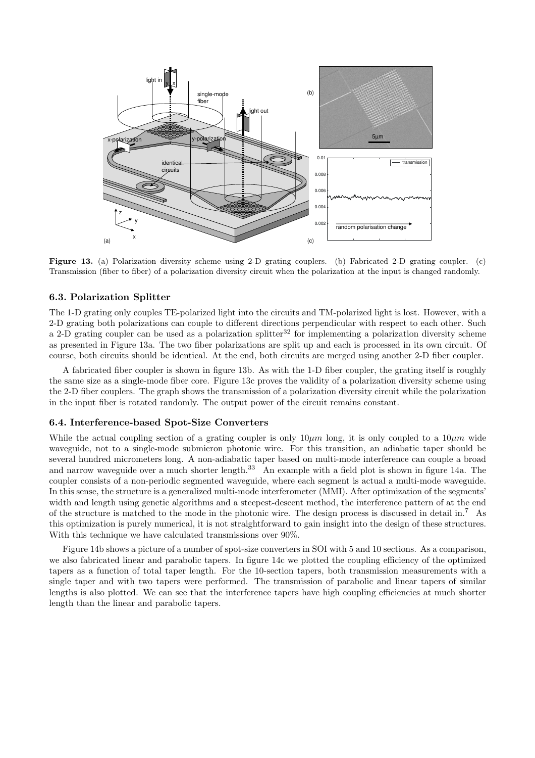

Figure 13. (a) Polarization diversity scheme using 2-D grating couplers. (b) Fabricated 2-D grating coupler. (c) Transmission (fiber to fiber) of a polarization diversity circuit when the polarization at the input is changed randomly.

#### 6.3. Polarization Splitter

The 1-D grating only couples TE-polarized light into the circuits and TM-polarized light is lost. However, with a 2-D grating both polarizations can couple to different directions perpendicular with respect to each other. Such a 2-D grating coupler can be used as a polarization splitter<sup>32</sup> for implementing a polarization diversity scheme as presented in Figure 13a. The two fiber polarizations are split up and each is processed in its own circuit. Of course, both circuits should be identical. At the end, both circuits are merged using another 2-D fiber coupler.

A fabricated fiber coupler is shown in figure 13b. As with the 1-D fiber coupler, the grating itself is roughly the same size as a single-mode fiber core. Figure 13c proves the validity of a polarization diversity scheme using the 2-D fiber couplers. The graph shows the transmission of a polarization diversity circuit while the polarization in the input fiber is rotated randomly. The output power of the circuit remains constant.

#### 6.4. Interference-based Spot-Size Converters

While the actual coupling section of a grating coupler is only  $10\mu m$  long, it is only coupled to a  $10\mu m$  wide waveguide, not to a single-mode submicron photonic wire. For this transition, an adiabatic taper should be several hundred micrometers long. A non-adiabatic taper based on multi-mode interference can couple a broad and narrow waveguide over a much shorter length.<sup>33</sup> An example with a field plot is shown in figure 14a. The coupler consists of a non-periodic segmented waveguide, where each segment is actual a multi-mode waveguide. In this sense, the structure is a generalized multi-mode interferometer (MMI). After optimization of the segments' width and length using genetic algorithms and a steepest-descent method, the interference pattern of at the end of the structure is matched to the mode in the photonic wire. The design process is discussed in detail in.<sup>7</sup> As this optimization is purely numerical, it is not straightforward to gain insight into the design of these structures. With this technique we have calculated transmissions over 90%.

Figure 14b shows a picture of a number of spot-size converters in SOI with 5 and 10 sections. As a comparison, we also fabricated linear and parabolic tapers. In figure 14c we plotted the coupling efficiency of the optimized tapers as a function of total taper length. For the 10-section tapers, both transmission measurements with a single taper and with two tapers were performed. The transmission of parabolic and linear tapers of similar lengths is also plotted. We can see that the interference tapers have high coupling efficiencies at much shorter length than the linear and parabolic tapers.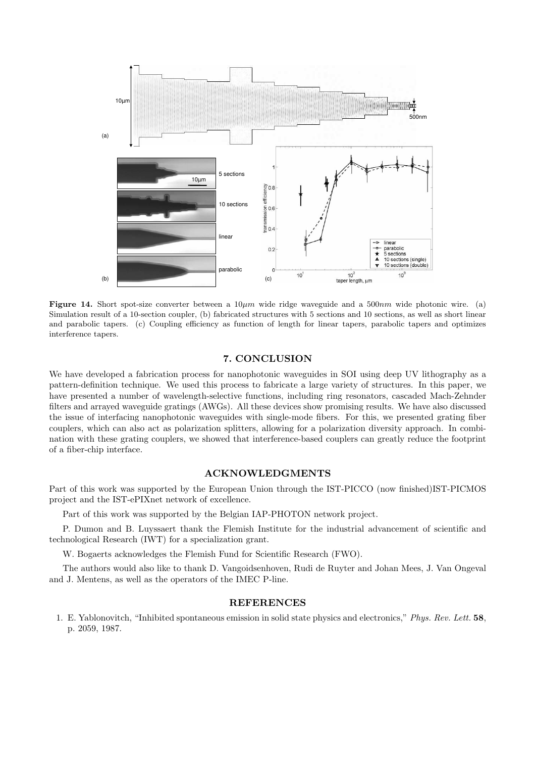

Figure 14. Short spot-size converter between a  $10\mu m$  wide ridge waveguide and a  $500nm$  wide photonic wire. (a) Simulation result of a 10-section coupler, (b) fabricated structures with 5 sections and 10 sections, as well as short linear and parabolic tapers. (c) Coupling efficiency as function of length for linear tapers, parabolic tapers and optimizes interference tapers.

### 7. CONCLUSION

We have developed a fabrication process for nanophotonic waveguides in SOI using deep UV lithography as a pattern-definition technique. We used this process to fabricate a large variety of structures. In this paper, we have presented a number of wavelength-selective functions, including ring resonators, cascaded Mach-Zehnder filters and arrayed waveguide gratings (AWGs). All these devices show promising results. We have also discussed the issue of interfacing nanophotonic waveguides with single-mode fibers. For this, we presented grating fiber couplers, which can also act as polarization splitters, allowing for a polarization diversity approach. In combination with these grating couplers, we showed that interference-based couplers can greatly reduce the footprint of a fiber-chip interface.

# ACKNOWLEDGMENTS

Part of this work was supported by the European Union through the IST-PICCO (now finished)IST-PICMOS project and the IST-ePIXnet network of excellence.

Part of this work was supported by the Belgian IAP-PHOTON network project.

P. Dumon and B. Luyssaert thank the Flemish Institute for the industrial advancement of scientific and technological Research (IWT) for a specialization grant.

W. Bogaerts acknowledges the Flemish Fund for Scientific Research (FWO).

The authors would also like to thank D. Vangoidsenhoven, Rudi de Ruyter and Johan Mees, J. Van Ongeval and J. Mentens, as well as the operators of the IMEC P-line.

#### REFERENCES

1. E. Yablonovitch, "Inhibited spontaneous emission in solid state physics and electronics," Phys. Rev. Lett. 58, p. 2059, 1987.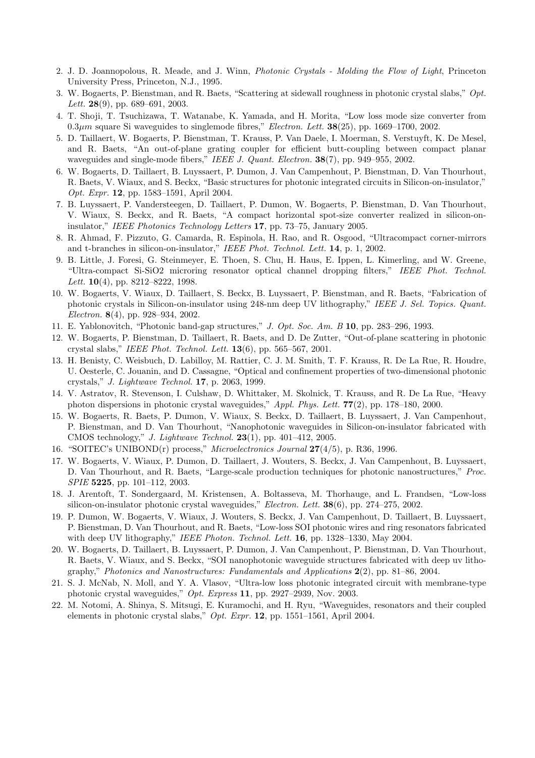- 2. J. D. Joannopolous, R. Meade, and J. Winn, Photonic Crystals Molding the Flow of Light, Princeton University Press, Princeton, N.J., 1995.
- 3. W. Bogaerts, P. Bienstman, and R. Baets, "Scattering at sidewall roughness in photonic crystal slabs," Opt. Lett. 28(9), pp. 689–691, 2003.
- 4. T. Shoji, T. Tsuchizawa, T. Watanabe, K. Yamada, and H. Morita, "Low loss mode size converter from  $0.3\mu m$  square Si waveguides to singlemode fibres," *Electron. Lett.* **38**(25), pp. 1669–1700, 2002.
- 5. D. Taillaert, W. Bogaerts, P. Bienstman, T. Krauss, P. Van Daele, I. Moerman, S. Verstuyft, K. De Mesel, and R. Baets, "An out-of-plane grating coupler for efficient butt-coupling between compact planar waveguides and single-mode fibers," IEEE J. Quant. Electron.  $38(7)$ , pp. 949-955, 2002.
- 6. W. Bogaerts, D. Taillaert, B. Luyssaert, P. Dumon, J. Van Campenhout, P. Bienstman, D. Van Thourhout, R. Baets, V. Wiaux, and S. Beckx, "Basic structures for photonic integrated circuits in Silicon-on-insulator," Opt. Expr. 12, pp. 1583–1591, April 2004.
- 7. B. Luyssaert, P. Vandersteegen, D. Taillaert, P. Dumon, W. Bogaerts, P. Bienstman, D. Van Thourhout, V. Wiaux, S. Beckx, and R. Baets, "A compact horizontal spot-size converter realized in silicon-oninsulator," IEEE Photonics Technology Letters 17, pp. 73–75, January 2005.
- 8. R. Ahmad, F. Pizzuto, G. Camarda, R. Espinola, H. Rao, and R. Osgood, "Ultracompact corner-mirrors and t-branches in silicon-on-insulator," IEEE Phot. Technol. Lett. 14, p. 1, 2002.
- 9. B. Little, J. Foresi, G. Steinmeyer, E. Thoen, S. Chu, H. Haus, E. Ippen, L. Kimerling, and W. Greene, "Ultra-compact Si-SiO2 microring resonator optical channel dropping filters," IEEE Phot. Technol. *Lett.* **10**(4), pp. 8212–8222, 1998.
- 10. W. Bogaerts, V. Wiaux, D. Taillaert, S. Beckx, B. Luyssaert, P. Bienstman, and R. Baets, "Fabrication of photonic crystals in Silicon-on-insulator using 248-nm deep UV lithography," IEEE J. Sel. Topics. Quant. Electron. 8(4), pp. 928–934, 2002.
- 11. E. Yablonovitch, "Photonic band-gap structures," J. Opt. Soc. Am. B 10, pp. 283–296, 1993.
- 12. W. Bogaerts, P. Bienstman, D. Taillaert, R. Baets, and D. De Zutter, "Out-of-plane scattering in photonic crystal slabs," IEEE Phot. Technol. Lett. 13(6), pp. 565–567, 2001.
- 13. H. Benisty, C. Weisbuch, D. Labilloy, M. Rattier, C. J. M. Smith, T. F. Krauss, R. De La Rue, R. Houdre, U. Oesterle, C. Jouanin, and D. Cassagne, "Optical and confinement properties of two-dimensional photonic crystals," J. Lightwave Technol. 17, p. 2063, 1999.
- 14. V. Astratov, R. Stevenson, I. Culshaw, D. Whittaker, M. Skolnick, T. Krauss, and R. De La Rue, "Heavy photon dispersions in photonic crystal waveguides," Appl. Phys. Lett. 77(2), pp. 178–180, 2000.
- 15. W. Bogaerts, R. Baets, P. Dumon, V. Wiaux, S. Beckx, D. Taillaert, B. Luyssaert, J. Van Campenhout, P. Bienstman, and D. Van Thourhout, "Nanophotonic waveguides in Silicon-on-insulator fabricated with CMOS technology," J. Lightwave Technol. 23(1), pp. 401–412, 2005.
- 16. "SOITEC's UNIBOND $(r)$  process," *Microelectronics Journal*  $27(4/5)$ , p. R36, 1996.
- 17. W. Bogaerts, V. Wiaux, P. Dumon, D. Taillaert, J. Wouters, S. Beckx, J. Van Campenhout, B. Luyssaert, D. Van Thourhout, and R. Baets, "Large-scale production techniques for photonic nanostructures," Proc. SPIE 5225, pp. 101–112, 2003.
- 18. J. Arentoft, T. Sondergaard, M. Kristensen, A. Boltasseva, M. Thorhauge, and L. Frandsen, "Low-loss silicon-on-insulator photonic crystal waveguides," *Electron. Lett.*  $38(6)$ , pp. 274–275, 2002.
- 19. P. Dumon, W. Bogaerts, V. Wiaux, J. Wouters, S. Beckx, J. Van Campenhout, D. Taillaert, B. Luyssaert, P. Bienstman, D. Van Thourhout, and R. Baets, "Low-loss SOI photonic wires and ring resonators fabricated with deep UV lithography," IEEE Photon. Technol. Lett. **16**, pp. 1328–1330, May 2004.
- 20. W. Bogaerts, D. Taillaert, B. Luyssaert, P. Dumon, J. Van Campenhout, P. Bienstman, D. Van Thourhout, R. Baets, V. Wiaux, and S. Beckx, "SOI nanophotonic waveguide structures fabricated with deep uv lithography," Photonics and Nanostructures: Fundamentals and Applications 2(2), pp. 81–86, 2004.
- 21. S. J. McNab, N. Moll, and Y. A. Vlasov, "Ultra-low loss photonic integrated circuit with membrane-type photonic crystal waveguides," Opt. Express 11, pp. 2927–2939, Nov. 2003.
- 22. M. Notomi, A. Shinya, S. Mitsugi, E. Kuramochi, and H. Ryu, "Waveguides, resonators and their coupled elements in photonic crystal slabs," Opt. Expr. 12, pp. 1551–1561, April 2004.